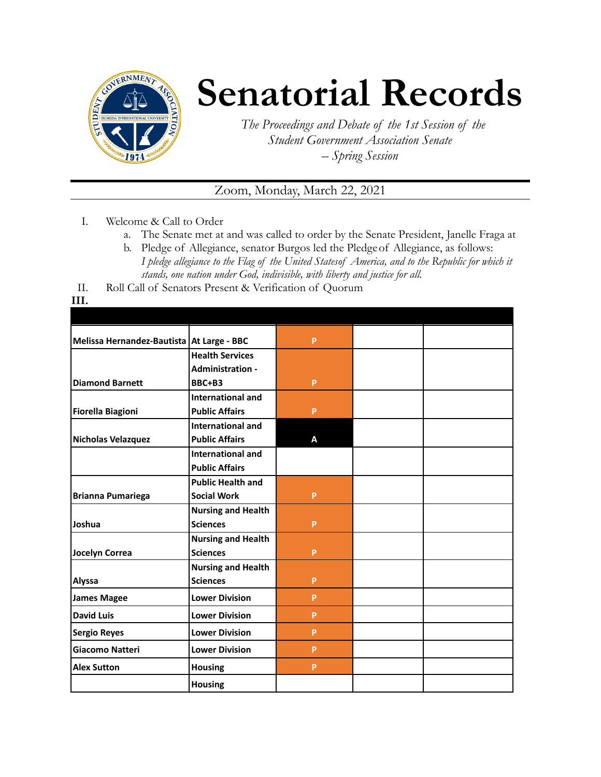

## **Senatorial Records**

*The Proceedings and Debate of the 1st Session of the Student Government Association Senate – Spring Session*

## Zoom, Monday, March 22, 2021

- I. Welcome & Call to Order
	- a. The Senate met at and was called to order by the Senate President, Janelle Fraga at
	- b. Pledge of Allegiance, senator Burgos led the Pledgeof Allegiance, as follows: *I pledge allegiance to the Flag of the United Statesof America, and to the Republic for which it stands, one nation under God, indivisible, with liberty and justice for all.*
- II. Roll Call of Senators Present & Verification of Quorum

**III.**

| Melissa Hernandez-Bautista   At Large - BBC |                           | P  |  |
|---------------------------------------------|---------------------------|----|--|
|                                             | <b>Health Services</b>    |    |  |
|                                             | <b>Administration -</b>   |    |  |
| <b>Diamond Barnett</b>                      | BBC+B3                    | P  |  |
|                                             | International and         |    |  |
| <b>Fiorella Biagioni</b>                    | <b>Public Affairs</b>     | P  |  |
|                                             | <b>International and</b>  |    |  |
| Nicholas Velazquez                          | <b>Public Affairs</b>     | A  |  |
|                                             | <b>International and</b>  |    |  |
|                                             | <b>Public Affairs</b>     |    |  |
|                                             | <b>Public Health and</b>  |    |  |
| <b>Brianna Pumariega</b>                    | <b>Social Work</b>        | P  |  |
|                                             | <b>Nursing and Health</b> |    |  |
| Joshua                                      | <b>Sciences</b>           | P  |  |
|                                             | <b>Nursing and Health</b> |    |  |
| Jocelyn Correa                              | <b>Sciences</b>           | P  |  |
|                                             | <b>Nursing and Health</b> |    |  |
| <b>Alyssa</b>                               | <b>Sciences</b>           | P  |  |
| <b>James Magee</b>                          | <b>Lower Division</b>     | P  |  |
| <b>David Luis</b>                           | <b>Lower Division</b>     | P  |  |
| <b>Sergio Reyes</b>                         | <b>Lower Division</b>     | P  |  |
| <b>Giacomo Natteri</b>                      | <b>Lower Division</b>     | P  |  |
| <b>Alex Sutton</b>                          | <b>Housing</b>            | P. |  |
|                                             | <b>Housing</b>            |    |  |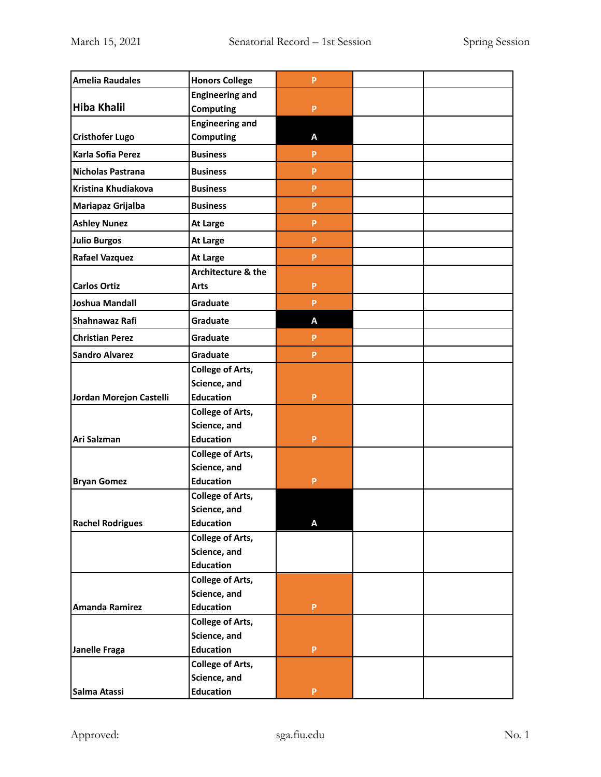| <b>Amelia Raudales</b>  | <b>Honors College</b>   | P  |  |
|-------------------------|-------------------------|----|--|
|                         | <b>Engineering and</b>  |    |  |
| <b>Hiba Khalil</b>      | <b>Computing</b>        | P  |  |
|                         | <b>Engineering and</b>  |    |  |
| <b>Cristhofer Lugo</b>  | <b>Computing</b>        | Α  |  |
| Karla Sofia Perez       | <b>Business</b>         | P  |  |
| Nicholas Pastrana       | <b>Business</b>         | P  |  |
| Kristina Khudiakova     | <b>Business</b>         | P  |  |
| Mariapaz Grijalba       | <b>Business</b>         | P  |  |
| <b>Ashley Nunez</b>     | At Large                | P  |  |
| <b>Julio Burgos</b>     | At Large                | P  |  |
| <b>Rafael Vazquez</b>   | At Large                | P  |  |
|                         | Architecture & the      |    |  |
| <b>Carlos Ortiz</b>     | <b>Arts</b>             | P  |  |
| Joshua Mandall          | Graduate                | P  |  |
| Shahnawaz Rafi          | Graduate                | A  |  |
| <b>Christian Perez</b>  | Graduate                | P  |  |
| <b>Sandro Alvarez</b>   | Graduate                | P. |  |
|                         | <b>College of Arts,</b> |    |  |
|                         | Science, and            |    |  |
| Jordan Morejon Castelli | <b>Education</b>        | P  |  |
|                         | <b>College of Arts,</b> |    |  |
|                         | Science, and            |    |  |
| Ari Salzman             | <b>Education</b>        | P  |  |
|                         | <b>College of Arts,</b> |    |  |
|                         | Science, and            |    |  |
| <b>Bryan Gomez</b>      | <b>Education</b>        | P  |  |
|                         | <b>College of Arts,</b> |    |  |
|                         | Science, and            |    |  |
| <b>Rachel Rodrigues</b> | <b>Education</b>        | A  |  |
|                         | <b>College of Arts,</b> |    |  |
|                         | Science, and            |    |  |
|                         | <b>Education</b>        |    |  |
|                         | <b>College of Arts,</b> |    |  |
|                         | Science, and            |    |  |
| Amanda Ramirez          | <b>Education</b>        | P  |  |
|                         | <b>College of Arts,</b> |    |  |
|                         | Science, and            |    |  |
| Janelle Fraga           | <b>Education</b>        | P  |  |
|                         | <b>College of Arts,</b> |    |  |
|                         | Science, and            |    |  |
| Salma Atassi            | <b>Education</b>        | P  |  |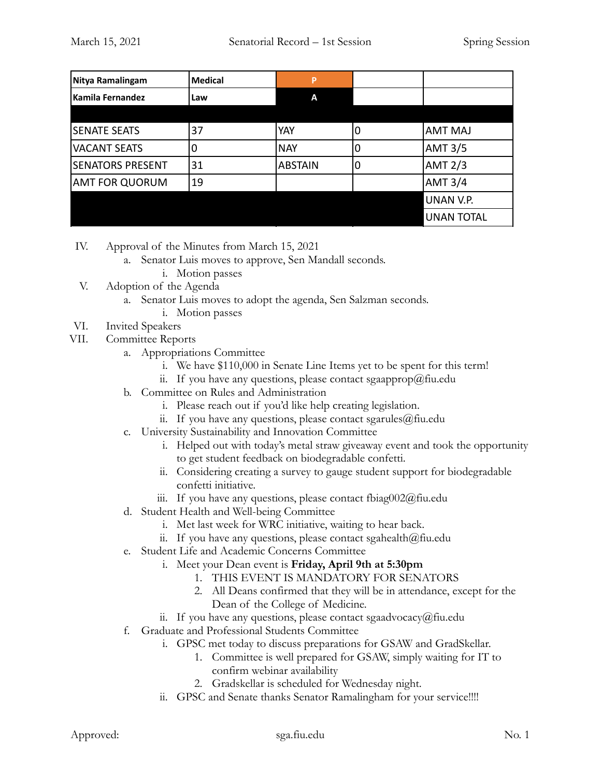| Nitya Ramalingam        | <b>Medical</b> | P              |                |                   |
|-------------------------|----------------|----------------|----------------|-------------------|
| l Kamila Fernandez      | Law            | A              |                |                   |
|                         |                |                |                |                   |
| <b>SENATE SEATS</b>     | 37             | YAY            | 0              | <b>AMT MAJ</b>    |
| <b>VACANT SEATS</b>     | 0              | <b>NAY</b>     | $\overline{0}$ | <b>AMT 3/5</b>    |
| <b>SENATORS PRESENT</b> | 31             | <b>ABSTAIN</b> | 0              | <b>AMT 2/3</b>    |
| <b>AMT FOR QUORUM</b>   | 19             |                |                | <b>AMT 3/4</b>    |
|                         |                |                |                | <b>UNAN V.P.</b>  |
|                         |                |                |                | <b>UNAN TOTAL</b> |

- IV. Approval of the Minutes from March 15, 2021
	- a. Senator Luis moves to approve, Sen Mandall seconds.
		- i. Motion passes
- V. Adoption of the Agenda
	- a. Senator Luis moves to adopt the agenda, Sen Salzman seconds.
		- i. Motion passes
- VI. Invited Speakers
- VII. Committee Reports
	- a. Appropriations Committee
		- i. We have \$110,000 in Senate Line Items yet to be spent for this term!
		- ii. If you have any questions, please contact sgaapprop@fiu.edu
	- b. Committee on Rules and Administration
		- i. Please reach out if you'd like help creating legislation.
		- ii. If you have any questions, please contact sgarules@fiu.edu
	- c. University Sustainability and Innovation Committee
		- i. Helped out with today's metal straw giveaway event and took the opportunity to get student feedback on biodegradable confetti.
		- ii. Considering creating a survey to gauge student support for biodegradable confetti initiative.
		- iii. If you have any questions, please contact fbiag002@fiu.edu
	- d. Student Health and Well-being Committee
		- i. Met last week for WRC initiative, waiting to hear back.
		- ii. If you have any questions, please contact sgahealth $@$ fiu.edu
	- e. Student Life and Academic Concerns Committee
		- i. Meet your Dean event is **Friday, April 9th at 5:30pm**
			- 1. THIS EVENT IS MANDATORY FOR SENATORS
			- 2. All Deans confirmed that they will be in attendance, except for the Dean of the College of Medicine.
		- ii. If you have any questions, please contact sgaadvocacy@fiu.edu
	- f. Graduate and Professional Students Committee
		- i. GPSC met today to discuss preparations for GSAW and GradSkellar.
			- 1. Committee is well prepared for GSAW, simply waiting for IT to confirm webinar availability
			- 2. Gradskellar is scheduled for Wednesday night.
		- ii. GPSC and Senate thanks Senator Ramalingham for your service!!!!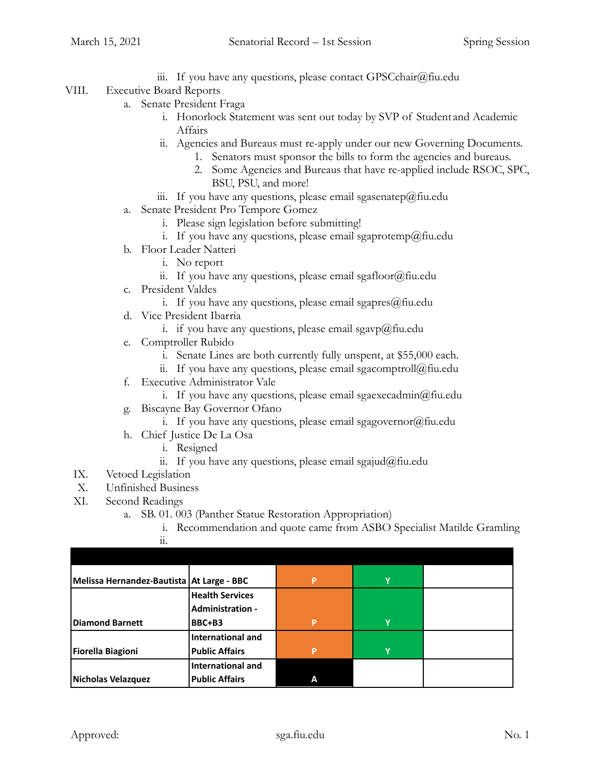iii. If you have any questions, please contact  $GPSCchar(\partial f\mathfrak{u}.edu)$ 

## VIII. Executive Board Reports

- a. Senate President Fraga
	- i. Honorlock Statement was sent out today by SVP of Student and Academic Affairs
	- ii. Agencies and Bureaus must re-apply under our new Governing Documents.
		- 1. Senators must sponsor the bills to form the agencies and bureaus.
		- 2. Some Agencies and Bureaus that have re-applied include RSOC, SPC, BSU, PSU, and more!
	- iii. If you have any questions, please email sgasenatep@fiu.edu
- a. Senate President Pro Tempore Gomez
	- i. Please sign legislation before submitting!
	- i. If you have any questions, please email sgaprotemp@fiu.edu
- b. Floor Leader Natteri
	- i. No report
	- ii. If you have any questions, please email sgafloor@fiu.edu
- c. President Valdes
	- i. If you have any questions, please email sgapres@fiu.edu
- d. Vice President Ibarria
	- i. if you have any questions, please email sgavp@fiu.edu
- e. Comptroller Rubido
	- i. Senate Lines are both currently fully unspent, at \$55,000 each.
	- ii. If you have any questions, please email sgacomptroll@fiu.edu
- f. Executive Administrator Vale
	- i. If you have any questions, please email sgaexecadmin@fiu.edu
- g. Biscayne Bay Governor Ofano
	- i. If you have any questions, please email sgagovernor $(\partial)$ fiu.edu
- h. Chief Justice De La Osa
	- i. Resigned
		- ii. If you have any questions, please email sgajud@fiu.edu
- IX. Vetoed Legislation
- X. Unfinished Business
- XI. Second Readings
	- a. SB. 01. 003 (Panther Statue Restoration Appropriation)
		- i. Recommendation and quote came from ASBO Specialist Matilde Gramling ii.

| Melissa Hernandez-Bautista   At Large - BBC |                          | P | ۷ |  |
|---------------------------------------------|--------------------------|---|---|--|
|                                             | <b>Health Services</b>   |   |   |  |
|                                             | <b>Administration -</b>  |   |   |  |
| Diamond Barnett                             | BBC+B3                   | P | v |  |
|                                             | <b>International and</b> |   |   |  |
| Fiorella Biagioni                           | <b>Public Affairs</b>    | P | ٧ |  |
|                                             | International and        |   |   |  |
| Nicholas Velazquez                          | <b>Public Affairs</b>    |   |   |  |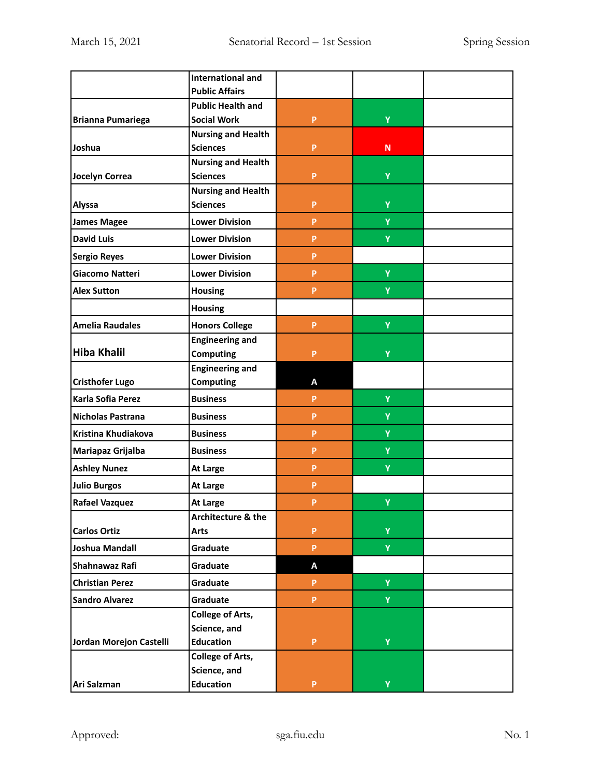|                         | <b>International and</b>  |              |              |  |
|-------------------------|---------------------------|--------------|--------------|--|
|                         | <b>Public Affairs</b>     |              |              |  |
|                         | <b>Public Health and</b>  |              |              |  |
| Brianna Pumariega       | <b>Social Work</b>        | P            | Ÿ            |  |
|                         | <b>Nursing and Health</b> |              |              |  |
| Joshua                  | <b>Sciences</b>           | P            | $\mathsf{N}$ |  |
|                         | <b>Nursing and Health</b> |              |              |  |
| Jocelyn Correa          | <b>Sciences</b>           | P            | Y            |  |
|                         | <b>Nursing and Health</b> |              |              |  |
| Alyssa                  | <b>Sciences</b>           | P            | Y            |  |
| <b>James Magee</b>      | <b>Lower Division</b>     | P            | Y            |  |
| <b>David Luis</b>       | <b>Lower Division</b>     | P            | Y            |  |
| Sergio Reyes            | <b>Lower Division</b>     | P            |              |  |
| <b>Giacomo Natteri</b>  | <b>Lower Division</b>     | P.           | Ÿ            |  |
| <b>Alex Sutton</b>      | <b>Housing</b>            | P            | Ÿ            |  |
|                         | <b>Housing</b>            |              |              |  |
| <b>Amelia Raudales</b>  | <b>Honors College</b>     | P            | Ÿ            |  |
|                         | <b>Engineering and</b>    |              |              |  |
| Hiba Khalil             | <b>Computing</b>          | P            | Y            |  |
|                         | <b>Engineering and</b>    |              |              |  |
| <b>Cristhofer Lugo</b>  | <b>Computing</b>          | A            |              |  |
| Karla Sofia Perez       | <b>Business</b>           | P            | Y            |  |
| Nicholas Pastrana       | <b>Business</b>           | P            | Y            |  |
| Kristina Khudiakova     | <b>Business</b>           | P            | Y            |  |
| Mariapaz Grijalba       | <b>Business</b>           | P            | Y            |  |
| <b>Ashley Nunez</b>     | At Large                  | P            | Y            |  |
| <b>Julio Burgos</b>     | At Large                  | P            |              |  |
| Rafael Vazquez          | At Large                  | P            | Ÿ            |  |
|                         | Architecture & the        |              |              |  |
| <b>Carlos Ortiz</b>     | Arts                      | P            | Y            |  |
| Joshua Mandall          | Graduate                  | P            | Y.           |  |
| Shahnawaz Rafi          | Graduate                  | Α            |              |  |
| <b>Christian Perez</b>  | Graduate                  | P            | Y            |  |
| <b>Sandro Alvarez</b>   | Graduate                  | P.           | Y            |  |
|                         | <b>College of Arts,</b>   |              |              |  |
|                         | Science, and              |              |              |  |
| Jordan Morejon Castelli | <b>Education</b>          | P            | Y            |  |
|                         | <b>College of Arts,</b>   |              |              |  |
|                         | Science, and              |              |              |  |
| Ari Salzman             | <b>Education</b>          | $\mathsf{P}$ | Y.           |  |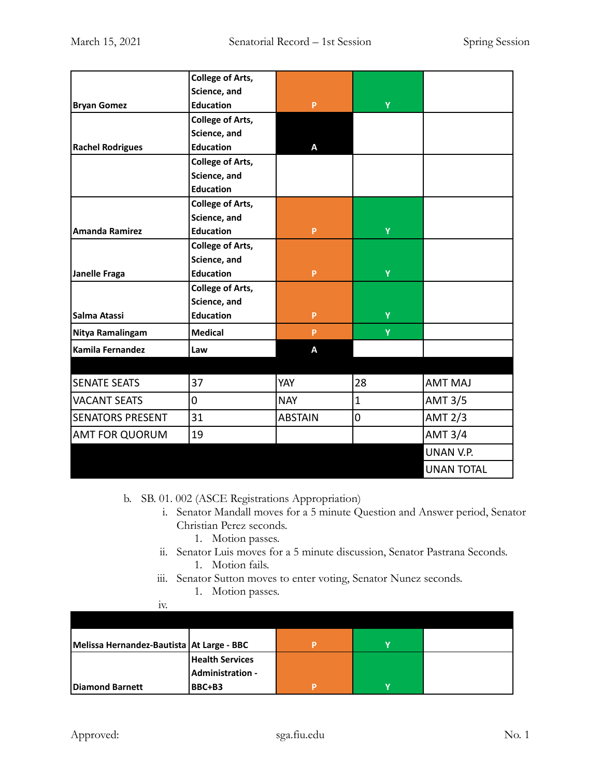|                         | <b>College of Arts,</b> |                |                |                   |
|-------------------------|-------------------------|----------------|----------------|-------------------|
|                         | Science, and            |                |                |                   |
| <b>Bryan Gomez</b>      | <b>Education</b>        | P              | Y              |                   |
|                         | <b>College of Arts,</b> |                |                |                   |
|                         | Science, and            |                |                |                   |
| <b>Rachel Rodrigues</b> | <b>Education</b>        | A              |                |                   |
|                         | <b>College of Arts,</b> |                |                |                   |
|                         | Science, and            |                |                |                   |
|                         | <b>Education</b>        |                |                |                   |
|                         | <b>College of Arts,</b> |                |                |                   |
|                         | Science, and            |                |                |                   |
| <b>Amanda Ramirez</b>   | <b>Education</b>        | P              | Ÿ              |                   |
|                         | <b>College of Arts,</b> |                |                |                   |
|                         | Science, and            |                |                |                   |
| Janelle Fraga           | <b>Education</b>        | P              | Y              |                   |
|                         | <b>College of Arts,</b> |                |                |                   |
|                         | Science, and            |                |                |                   |
| <b>Salma Atassi</b>     | <b>Education</b>        | P              | Y              |                   |
| Nitya Ramalingam        | <b>Medical</b>          | P              | Y              |                   |
| Kamila Fernandez        | Law                     | A              |                |                   |
|                         |                         |                |                |                   |
| <b>SENATE SEATS</b>     | 37                      | YAY            | 28             | <b>AMT MAJ</b>    |
| <b>VACANT SEATS</b>     | 0                       | <b>NAY</b>     | $\mathbf{1}$   | <b>AMT 3/5</b>    |
| <b>SENATORS PRESENT</b> | 31                      | <b>ABSTAIN</b> | $\overline{0}$ | <b>AMT 2/3</b>    |
| <b>AMT FOR QUORUM</b>   | 19                      |                |                | <b>AMT 3/4</b>    |
|                         |                         |                |                | UNAN V.P.         |
|                         |                         |                |                | <b>UNAN TOTAL</b> |

b. SB. 01. 002 (ASCE Registrations Appropriation)

- i. Senator Mandall moves for a 5 minute Question and Answer period, Senator Christian Perez seconds.
	- 1. Motion passes.
- ii. Senator Luis moves for a 5 minute discussion, Senator Pastrana Seconds. 1. Motion fails.
- iii. Senator Sutton moves to enter voting, Senator Nunez seconds.
	- 1. Motion passes.

iv.

| 1V.                                         |                        |   |  |
|---------------------------------------------|------------------------|---|--|
|                                             |                        |   |  |
|                                             |                        |   |  |
| Melissa Hernandez-Bautista   At Large - BBC |                        | v |  |
|                                             | <b>Health Services</b> |   |  |
|                                             | Administration -       |   |  |
| Diamond Barnett                             | BBC+B3                 | v |  |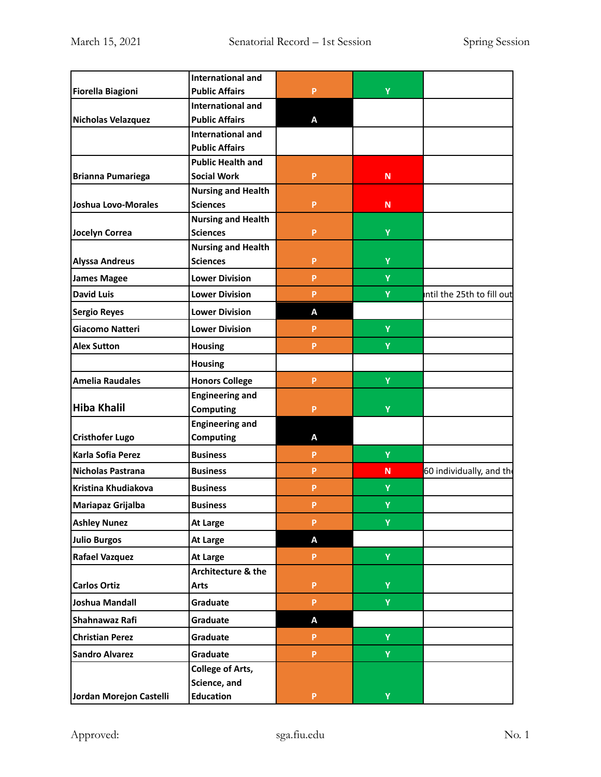|                          | <b>International and</b>                     |   |   |                            |
|--------------------------|----------------------------------------------|---|---|----------------------------|
| Fiorella Biagioni        | <b>Public Affairs</b>                        | P | Ÿ |                            |
|                          | <b>International and</b>                     |   |   |                            |
| Nicholas Velazquez       | <b>Public Affairs</b>                        | A |   |                            |
|                          | <b>International and</b>                     |   |   |                            |
|                          | <b>Public Affairs</b>                        |   |   |                            |
|                          | <b>Public Health and</b>                     |   |   |                            |
| <b>Brianna Pumariega</b> | <b>Social Work</b>                           | P | N |                            |
| Joshua Lovo-Morales      | <b>Nursing and Health</b><br><b>Sciences</b> | P | N |                            |
|                          | <b>Nursing and Health</b>                    |   |   |                            |
| Jocelyn Correa           | <b>Sciences</b>                              | P | Ÿ |                            |
|                          | <b>Nursing and Health</b>                    |   |   |                            |
| <b>Alyssa Andreus</b>    | <b>Sciences</b>                              | P | Y |                            |
| James Magee              | <b>Lower Division</b>                        | P | Y |                            |
| <b>David Luis</b>        | <b>Lower Division</b>                        | P | Y | intil the 25th to fill out |
| Sergio Reyes             | <b>Lower Division</b>                        | A |   |                            |
| Giacomo Natteri          | <b>Lower Division</b>                        | P | Y |                            |
| <b>Alex Sutton</b>       | <b>Housing</b>                               | P | Y |                            |
|                          | <b>Housing</b>                               |   |   |                            |
| <b>Amelia Raudales</b>   | <b>Honors College</b>                        | P | Ÿ |                            |
|                          | <b>Engineering and</b>                       |   |   |                            |
| Hiba Khalil              | <b>Computing</b>                             | P | Ÿ |                            |
|                          | <b>Engineering and</b>                       |   |   |                            |
| <b>Cristhofer Lugo</b>   | <b>Computing</b>                             | Α |   |                            |
| Karla Sofia Perez        | <b>Business</b>                              | P | Y |                            |
| Nicholas Pastrana        | <b>Business</b>                              | P | N | 60 individually, and the   |
| Kristina Khudiakova      | <b>Business</b>                              | P | Υ |                            |
| Mariapaz Grijalba        | <b>Business</b>                              | P | Ÿ |                            |
| <b>Ashley Nunez</b>      | At Large                                     | P | Y |                            |
| <b>Julio Burgos</b>      | At Large                                     | A |   |                            |
| <b>Rafael Vazquez</b>    | <b>At Large</b>                              | P | Y |                            |
|                          | Architecture & the                           |   |   |                            |
| <b>Carlos Ortiz</b>      | Arts                                         | P | Ÿ |                            |
| Joshua Mandall           | Graduate                                     | P | Y |                            |
| Shahnawaz Rafi           | Graduate                                     | Α |   |                            |
| <b>Christian Perez</b>   | Graduate                                     | P | Y |                            |
| <b>Sandro Alvarez</b>    | Graduate                                     | P | Ÿ |                            |
|                          | <b>College of Arts,</b>                      |   |   |                            |
|                          | Science, and                                 |   |   |                            |
| Jordan Morejon Castelli  | <b>Education</b>                             | P | Ÿ |                            |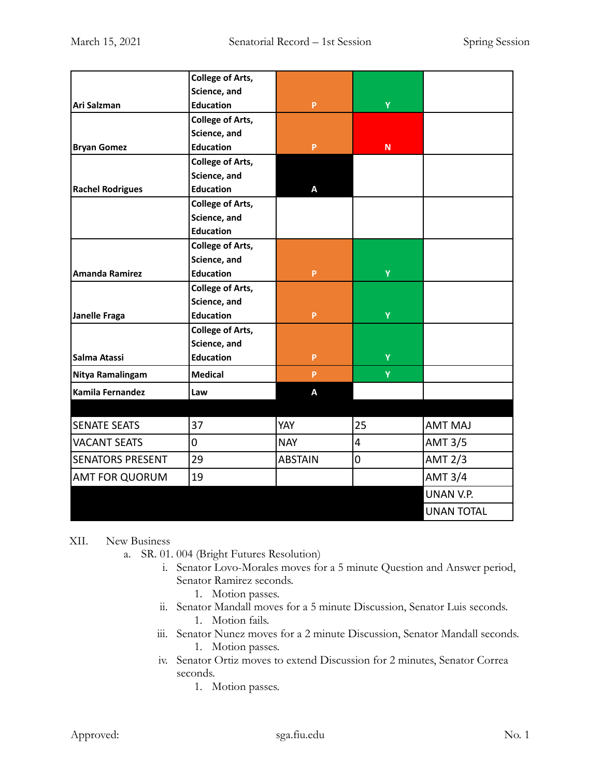|                         | <b>College of Arts,</b> |                |           |                   |
|-------------------------|-------------------------|----------------|-----------|-------------------|
|                         | Science, and            |                |           |                   |
| lAri Salzman            | <b>Education</b>        | P              | Ÿ         |                   |
|                         |                         |                |           |                   |
|                         | <b>College of Arts,</b> |                |           |                   |
|                         | Science, and            |                |           |                   |
| <b>Bryan Gomez</b>      | <b>Education</b>        | P              | ${\sf N}$ |                   |
|                         | <b>College of Arts,</b> |                |           |                   |
|                         | Science, and            |                |           |                   |
| <b>Rachel Rodrigues</b> | <b>Education</b>        | А              |           |                   |
|                         | <b>College of Arts,</b> |                |           |                   |
|                         | Science, and            |                |           |                   |
|                         | <b>Education</b>        |                |           |                   |
|                         | <b>College of Arts,</b> |                |           |                   |
|                         | Science, and            |                |           |                   |
| Amanda Ramirez          | <b>Education</b>        | P.             | Ÿ         |                   |
|                         | <b>College of Arts,</b> |                |           |                   |
|                         | Science, and            |                |           |                   |
| Janelle Fraga           | <b>Education</b>        | P              | Ÿ         |                   |
|                         | <b>College of Arts,</b> |                |           |                   |
|                         | Science, and            |                |           |                   |
| Salma Atassi            | <b>Education</b>        | <b>P</b>       | Ÿ         |                   |
| Nitya Ramalingam        | <b>Medical</b>          | <b>P</b>       | Ÿ         |                   |
| Kamila Fernandez        | Law                     | A              |           |                   |
|                         |                         |                |           |                   |
| <b>SENATE SEATS</b>     | 37                      | YAY            | 25        | <b>AMT MAJ</b>    |
| <b>VACANT SEATS</b>     | $\pmb{0}$               | <b>NAY</b>     | 4         | <b>AMT 3/5</b>    |
| <b>SENATORS PRESENT</b> | 29                      | <b>ABSTAIN</b> | 0         | <b>AMT 2/3</b>    |
| <b>AMT FOR QUORUM</b>   | 19                      |                |           | <b>AMT 3/4</b>    |
|                         |                         |                |           | UNAN V.P.         |
|                         |                         |                |           | <b>UNAN TOTAL</b> |

## XII. New Business

- a. SR. 01. 004 (Bright Futures Resolution)
	- i. Senator Lovo-Morales moves for a 5 minute Question and Answer period, Senator Ramirez seconds.
		- 1. Motion passes.
	- ii. Senator Mandall moves for a 5 minute Discussion, Senator Luis seconds. 1. Motion fails.
	- iii. Senator Nunez moves for a 2 minute Discussion, Senator Mandall seconds. 1. Motion passes.
	- iv. Senator Ortiz moves to extend Discussion for 2 minutes, Senator Correa seconds.
		- 1. Motion passes.